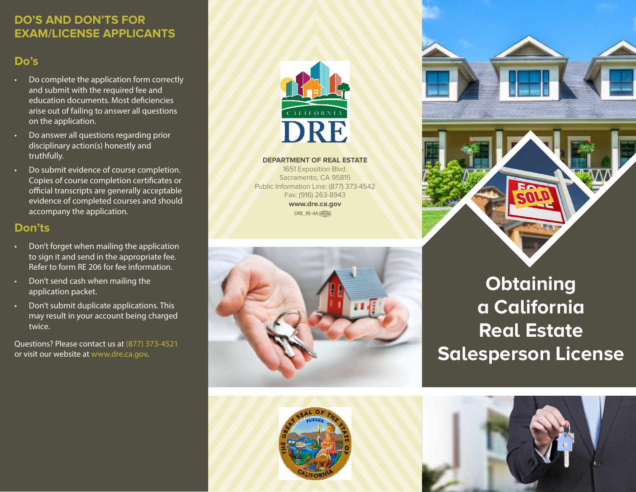### **DO'S AND DON'TS FOR EXAM/LICENSE APPLICANTS**

## **Do's**

- Do complete the application form correctly and submit with the required fee and education documents. Most deficiencies arise out of failing to answer all questions on the application.
- Do answer all questions regarding prior disciplinary action(s) honestly and truthfully.
- Do submit evidence of course completion. Copies of course completion certificates or official transcripts are generally acceptable evidence of completed courses and should accompany the application.

### **Don'ts**

- Don't forget when mailing the application to sign it and send in the appropriate fee. Refer to form RE 206 for fee information.
- Don't send cash when mailing the application packet.
- Don't submit duplicate applications. This may result in your account being charged twice.

Questions? Please contact us at (877) 373-4521 or visit our website at www.dre.ca.gov.



**DEPARTMENT OF REAL ESTATE**

1651 Exposition Blvd. Sacramento, CA 95815 Public Information Line: (877) 373-4542 Fax: (916) 263-8943 **www.dre.ca.gov** DRE\_RE-4A





# **Obtaining a California Real Estate Salesperson License**